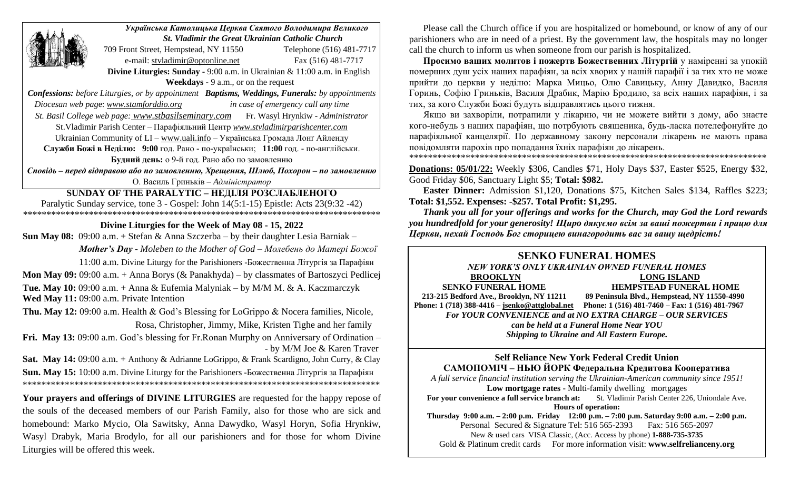| Українська Католицька Церква Святого Володимира Великого                                                     |                                                                                            |                          |
|--------------------------------------------------------------------------------------------------------------|--------------------------------------------------------------------------------------------|--------------------------|
|                                                                                                              | <b>St. Vladimir the Great Ukrainian Catholic Church</b>                                    |                          |
|                                                                                                              | 709 Front Street, Hempstead, NY 11550                                                      | Telephone (516) 481-7717 |
|                                                                                                              | e-mail: styladimir@optonline.net                                                           | Fax (516) 481-7717       |
| Divine Liturgies: Sunday - 9:00 a.m. in Ukrainian & 11:00 a.m. in English                                    |                                                                                            |                          |
| Weekdays - 9 a.m., or on the request                                                                         |                                                                                            |                          |
| <b>Confessions:</b> before Liturgies, or by appointment <b>Baptisms, Weddings, Funerals:</b> by appointments |                                                                                            |                          |
| Diocesan web page: www.stamforddio.org<br>in case of emergency call any time                                 |                                                                                            |                          |
| St. Basil College web page: www.stbasilseminary.com Fr. Wasyl Hrynkiw - Administrator                        |                                                                                            |                          |
| St. Vladimir Parish Center - Парафіяльний Центр www.stvladimirparishcenter.com                               |                                                                                            |                          |
| Ukrainian Community of LI - www.uali.info - Українська Громада Лонґ Айленду                                  |                                                                                            |                          |
| Служби Божі в Неділю: 9:00 год. Рано - по-українськи; 11:00 год. - по-англійськи.                            |                                                                                            |                          |
| Будний день: о 9-й год. Рано або по замовленню                                                               |                                                                                            |                          |
| Сповідь - перед відправою або по замовленню, Хрещення, Шлюб, Похорон - по замовленню                         |                                                                                            |                          |
| О. Василь Гриньків - Адміністратор                                                                           |                                                                                            |                          |
| <b>SUNDAY OF THE PARALYTIC - НЕДІЛЯ РОЗСЛАБЛЕНОГО</b>                                                        |                                                                                            |                          |
| Paralytic Sunday service, tone 3 - Gospel: John 14(5:1-15) Epistle: Acts 23(9:32 -42)                        |                                                                                            |                          |
| Divine Liturgies for the Week of May 08 - 15, 2022                                                           |                                                                                            |                          |
|                                                                                                              | <b>Sun May 08:</b> 09:00 a.m. + Stefan & Anna Szczerba – by their daughter Lesia Barniak – |                          |
| <b>Mother's Day</b> - Moleben to the Mother of $God - Monefenb$ do Mamepi $Eoscoi$                           |                                                                                            |                          |
| 11:00 a.m. Divine Liturgy for the Parishioners -Божественна Літургія за Парафіян                             |                                                                                            |                          |
| Mon May 09: 09:00 a.m. + Anna Borys ( $&$ Panakhyda) – by classmates of Bartoszyci Pedlicej                  |                                                                                            |                          |
| Tue. May 10: 09:00 a.m. + Anna & Eufemia Malyniak - by M/M M. & A. Kaczmarczyk                               |                                                                                            |                          |

**Wed May 11:** 09:00 a.m. Private Intention

**Thu. May 12:** 09:00 a.m. Health & God's Blessing for LoGrippo & Nocera families, Nicole, Rosa, Christopher, Jimmy, Mike, Kristen Tighe and her family

**Fri. May 13:** 09:00 a.m. God's blessing for Fr.Ronan Murphy on Anniversary of Ordination – - by M/M Joe & Karen Traver

**Sat. May 14:** 09:00 a.m. + Anthony & Adrianne LoGrippo, & Frank Scardigno, John Curry, & Clay **Sun. May 15:** 10:00 a.m. Divine Liturgy for the Parishioners -Божественна Літургія за Парафіян \*\*\*\*\*\*\*\*\*\*\*\*\*\*\*\*\*\*\*\*\*\*\*\*\*\*\*\*\*\*\*\*\*\*\*\*\*\*\*\*\*\*\*\*\*\*\*\*\*\*\*\*\*\*\*\*\*\*\*\*\*\*\*\*\*\*\*\*\*\*\*\*\*\*\*\*

**Your prayers and offerings of DIVINE LITURGIES** are requested for the happy repose of the souls of the deceased members of our Parish Family, also for those who are sick and homebound: Marko Mycio, Ola Sawitsky, Anna Dawydko, Wasyl Horyn, Sofia Hrynkiw, Wasyl Drabyk, Maria Brodylo, for all our parishioners and for those for whom Divine Liturgies will be offered this week.

Please call the Church office if you are hospitalized or homebound, or know of any of our parishioners who are in need of a priest. By the government law, the hospitals may no longer call the church to inform us when someone from our parish is hospitalized.

**Просимо вашиx молитов і пожертв Божественних Літургій** у наміренні за упокiй помершиx душ усix нашиx парафiян, за всix xвориx у нашiй парафiї i за тиx xто не може прийти до церкви у недiлю: Марка Мицьо, Олю Савицьку, Анну Давидко, Василя Горинь, Софію Гриньків, Василя Драбик, Марію Бродило, за всix нашиx парафiян, i за тиx, за кого Служби Божi будуть вiдправлятись цього тижня.

Якщо ви заxворiли, потрапили у лiкарню, чи не можете вийти з дому, або знаєте кого-небудь з нашиx парафiян, що потрбують священика, будь-ласка потелефонуйте до парафiяльної канцелярiї. По державному закону персонали лiкарень не мають права повiдомляти пароxiв про попадання їxнix парафiян до лiкарень.

\*\*\*\*\*\*\*\*\*\*\*\*\*\*\*\*\*\*\*\*\*\*\*\*\*\*\*\*\*\*\*\*\*\*\*\*\*\*\*\*\*\*\*\*\*\*\*\*\*\*\*\*\*\*\*\*\*\*\*\*\*\*\*\*\*\*\*\*\*\*\*\*\*\*\*\*

**Donations: 05/01/22:** Weekly \$306, Candles \$71, Holy Days \$37, Easter \$525, Energy \$32, Good Friday \$06, Sanctuary Light \$5; **Total: \$982.**

**Easter Dinner:** Admission \$1,120, Donations \$75, Kitchen Sales \$134, Raffles \$223; **Total: \$1,552. Expenses: -\$257. Total Profit: \$1,295.** 

*Thank you all for your offerings and works for the Church, may God the Lord rewards you hundredfold for your generosity! Щирo дякуємо всім за ваші пожертви і працю для Церкви, нехай Господь Бог сторицею винагородить вас за вашу щедрість!* 

#### **SENKO FUNERAL HOMES** *NEW YORK'S ONLY UKRAINIAN OWNED FUNERAL HOMES*

# **BROOKLYN LONG ISLAND**

**SENKO FUNERAL HOME HEMPSTEAD FUNERAL HOME** 

 **213-215 Bedford Ave., Brooklyn, NY 11211 89 Peninsula Blvd., Hempstead, NY 11550-4990 Phone: 1 (718) 388-4416 – [jsenko@attglobal.net](mailto:jsenko@attglobal.net) Phone: 1 (516) 481-7460 – Fax: 1 (516) 481-7967** *For YOUR CONVENIENCE and at NO EXTRA CHARGE – OUR SERVICES can be held at a Funeral Home Near YOU Shipping to Ukraine and All Eastern Europe.*

**Self Reliance New York Federal Credit Union САМОПОМІЧ – НЬЮ ЙОРК Федеральна Кредитова Кооператива**

*A full service financial institution serving the Ukrainian-American community since 1951!*  **Low mortgage rates -** Multi-family dwelling mortgages ence a full service branch at: St. Vladimir Parish Center 226, Uniondale Ave. For your convenience a full service branch at: **Hours of operation:**

**Thursday 9:00 a.m. – 2:00 p.m. Friday 12:00 p.m. – 7:00 p.m. Saturday 9:00 a.m. – 2:00 p.m.** Personal Secured & Signature Tel: 516 565-2393 Fax: 516 565-2097 New & used cars VISA Classic, (Acc. Access by phone) **1-888-735-3735** Gold & Platinum credit cards For more information visit: **www.selfrelianceny.org**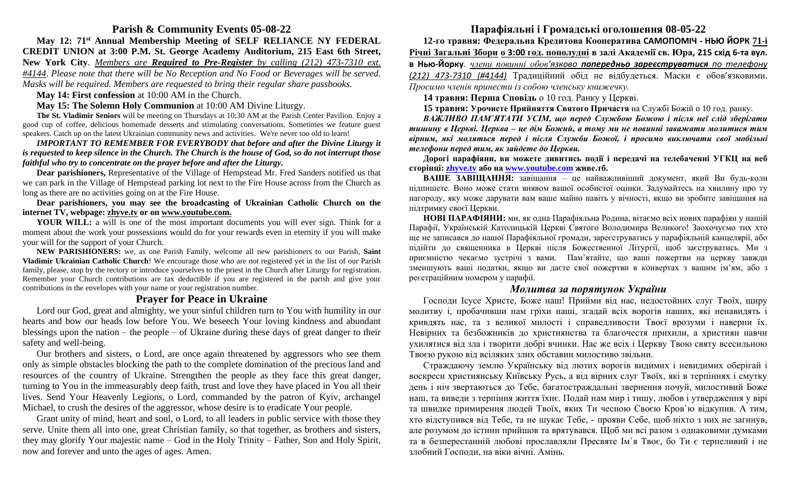## **Parish & Community Events 05-08-22**

**May 12: 71st Annual Membership Meeting of SELF RELIANCE NY FEDERAL CREDIT UNION at 3:00 P.M. St. George Academy Auditorium, 215 East 6th Street, New York City**. *Members are Required to Pre-Register by calling (212) 473-7310 ext. #4144*. *Please note that there will be No Reception and No Food or Beverages will be served. Masks will be required. Members are requested to bring their regular share passbooks.*

**May 14: First confession** at 10:00 AM in the Church.

**May 15: The Solemn Holy Communion** at 10:00 AM Divine Liturgy.

**The St. Vladimir Seniors** will be meeting on Thursdays at 10:30 AM at the Parish Center Pavilion. Enjoy a good cup of coffee, delicious homemade desserts and stimulating conversations. Sometimes we feature guest speakers. Catch up on the latest Ukrainian community news and activities. We're never too old to learn!

*IMPORTANT TO REMEMBER FOR EVERYBODY that before and after the Divine Liturgy it is requested to keep silence in the Church. The Church is the house of God, so do not interrupt those faithful who try to concentrate on the prayer before and after the Liturgy.* 

**Dear parishioners,** Representative of the Village of Hempstead Mr. Fred Sanders notified us that we can park in the Village of Hempstead parking lot next to the Fire House across from the Church as long as there are no activities going on at the Fire House.

**Dear parishioners, you may see the broadcasting of Ukrainian Catholic Church on the internet TV, webpage: [zhyve.tv](http://www.ugcc.org.ua/) or on [www.youtube.com.](http://www.youtube.com/)**

**YOUR WILL:** a will is one of the most important documents you will ever sign. Think for a moment about the work your possessions would do for your rewards even in eternity if you will make your will for the support of your Church.

**NEW PARISHIONERS:** we, as one Parish Family, welcome all new parishioners to our Parish, **Saint Vladimir Ukrainian Catholic Church**! We encourage those who are not registered yet in the list of our Parish family, please, stop by the rectory or introduce yourselves to the priest in the Church after Liturgy for registration. Remember your Church contributions are tax deductible if you are registered in the parish and give your contributions in the envelopes with your name or your registration number.

### **Prayer for Peace in Ukraine**

Lord our God, great and almighty, we your sinful children turn to You with humility in our hearts and bow our heads low before You. We beseech Your loving kindness and abundant blessings upon the nation – the people – of Ukraine during these days of great danger to their safety and well-being.

Our brothers and sisters, o Lord, are once again threatened by aggressors who see them only as simple obstacles blocking the path to the complete domination of the precious land and resources of the country of Ukraine. Strengthen the people as they face this great danger, turning to You in the immeasurably deep faith, trust and love they have placed in You all their lives. Send Your Heavenly Legions, o Lord, commanded by the patron of Kyiv, archangel Michael, to crush the desires of the aggressor, whose desire is to eradicate Your people.

Grant unity of mind, heart and soul, o Lord, to all leaders in public service with those they serve. Unite them all into one, great Christian family, so that together, as brothers and sisters, they may glorify Your majestic name – God in the Holy Trinity – Father, Son and Holy Spirit, now and forever and unto the ages of ages. Amen.

# **Парафіяльні і Громадські оголошення 08-05-22**

**12-го травня: Федеральна Кредитова Кооператива САМОПОМІЧ - НЬЮ ЙОРК 71-і Річні Загальні Збори о 3:00 год. пополудні в залі Академії св. Юра, 215 схід 6-та вул. в Нью-Йорку**. *члени повинні обов'язково попередньо зареєструватися по телефону (212) 473-7310 (#4144)* Традиційний обід не відбудеться. Маски є обов'язковими. *Просимо членів принести із собою членську книжечку.*

**14 травня: Перша Сповідь** о 10 год. Ранку у Церкві.

**15 травня: Урочисте Прийняття Святого Причастя** на Службі Божій o 10 год. ранку.

*ВАЖЛИВО ПАМ`ЯТАТИ УСІМ, що перед Службою Божою і після неї слід зберігати тишину в Церкві. Церква – це дім Божий, а тому ми не повинні заважати молитися тим вірним, які моляться перед і після Служби Божої, і просимо виключати свої мобільні телефони перед тим, як зайдете до Церкви.*

**Дорогі парафіяни, ви можете дивитись події і передачі на телебаченні УГКЦ на веб сторінці: [zhyve.tv](http://www.ugcc.org.ua/) або на [www.youtube.com](http://www.youtube.com/) живе.тб.** 

**ВАШЕ ЗАВІЩАННЯ:** завіщання – це найважливіший документ, який Ви будь-коли підпишете. Воно може стати виявом вашої особистої оцінки. Задумайтесь на хвилину про ту нагороду, яку може дарувати вам ваше майно навіть у вічності, якщо ви зробите завіщання на підтримку своєї Церкви.

**НОВІ ПАРАФІЯНИ:** ми, як одна Парафіяльна Родина, вітаємо всіх нових парафіян у нашій Парафії, Українській Католицькій Церкві Святого Володимира Великого! Заохочуємо тих хто ще не записався до нашої Парафіяльної громади, зареєструватись у парафіяльній канцелярії, або підійти до священника в Церкві після Божественної Літургії, щоб заєструватись. Ми з приємністю чекаємо зустрічі з вами. Пам'ятайте, що вашi пожертви на церкву завжди зменшують вашi податки, якщо ви даєте свої пожертви в конвертаx з вашим iм'ям, або з реєстрацiйним номером у парафiї.

#### *Молитва за порятунок України*

Господи Ісусе Христе, Боже наш! Прийми від нас, недостойних слуг Твоїх, щиру молитву і, пробачивши нам гріхи наші, згадай всіх ворогів наших, які ненавидять і кривдять нас, та з великої милості і справедливости Твоєї врозуми і наверни їх. Невірних та безбожників до християнства та благочестя прихили, а християн навчи ухилятися від зла і творити добрі вчинки. Нас же всіх і Церкву Твою святу всесильною Твоєю рукою від всіляких злих обставин милостиво звільни.

Страждаючу землю Українську від лютих ворогів видимих і невидимих оберігай і воскреси християнську Київську Русь, а від вірних слуг Твоїх, які в терпіннях і смутку день і ніч звертаються до Тебе, багатостраждальні звернення почуй, милостивий Боже наш, та виведи з терпіння життя їхнє. Подай нам мир і тишу, любов і утвердження у вірі та швидке примирення людей Твоїх, яких Ти чесною Своєю Кров`ю відкупив. А тим, хто відступився від Тебе, та не шукає Тебе, - прояви Себе, щоб ніхто з них не загинув, але розумом до істини прийшов та врятувався. Щоб ми всі разом з однаковими думками та в безперестанній любові прославляли Пресвяте Ім`я Твоє, бо Ти є терпеливий і не злобний Господи, на віки вічні. Амінь.